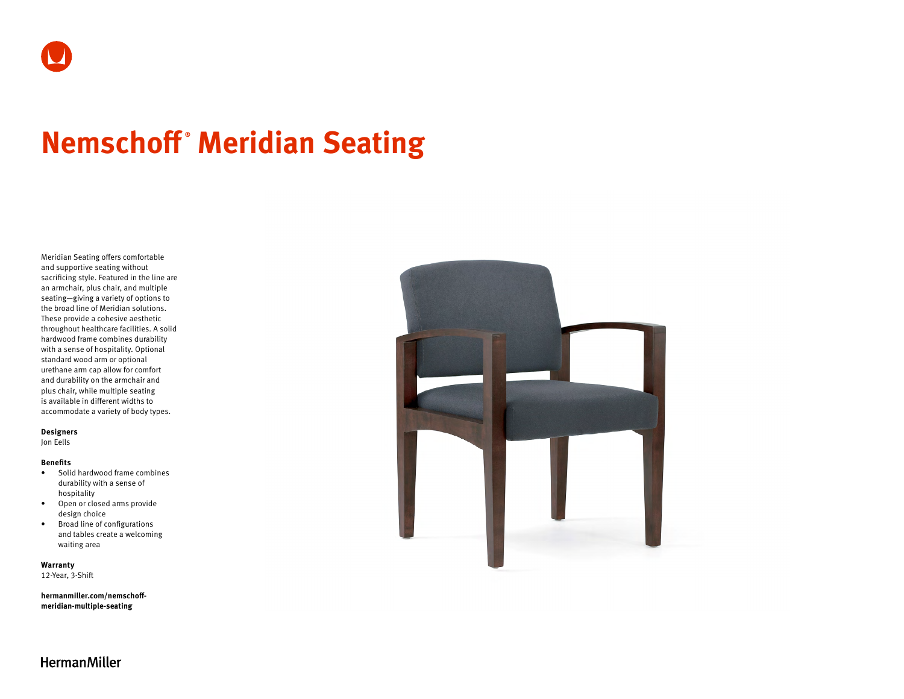# **Nemschoff ® Meridian Seating**

Meridian Seating offers comfortable and supportive seating without sacrificing style. Featured in the line are an armchair, plus chair, and multiple seating—giving a variety of options to the broad line of Meridian solutions. These provide a cohesive aesthetic throughout healthcare facilities. A solid hardwood frame combines durability with a sense of hospitality. Optional standard wood arm or optional urethane arm cap allow for comfort and durability on the armchair and plus chair, while multiple seating is available in different widths to accommodate a variety of body types.

#### **Designers**

Jon Eells

#### **Benefits**

- Solid hardwood frame combines durability with a sense of hospitality
- Open or closed arms provide design choice
- Broad line of configurations and tables create a welcoming waiting area

**Warranty**  12-Year, 3-Shift

**[hermanmiller.com/nemschoff](http://hermanmiller.com/nemschoff-meridian-multiple-seating)[meridian-multiple-seating](http://hermanmiller.com/nemschoff-meridian-multiple-seating)**



**HermanMiller**